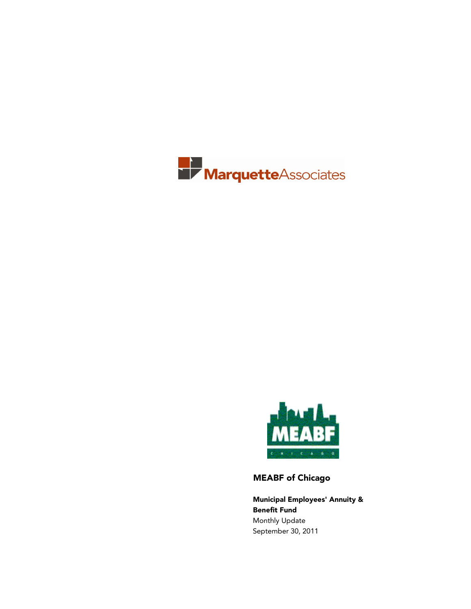



MEABF of Chicago

Municipal Employees' Annuity & Benefit Fund Monthly Update September 30, 2011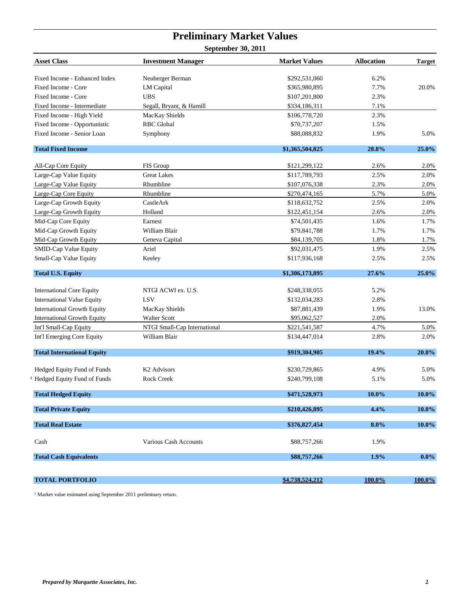## **Preliminary Market Values**

**September 30, 2011**

| <b>Asset Class</b>                 | <b>Investment Manager</b>    | <b>Market Values</b> | <b>Allocation</b> | <b>Target</b> |
|------------------------------------|------------------------------|----------------------|-------------------|---------------|
| Fixed Income - Enhanced Index      | Neuberger Berman             | \$292,531,060        | 6.2%              |               |
| Fixed Income - Core                | <b>LM</b> Capital            | \$365,980,895        | 7.7%              | 20.0%         |
| Fixed Income - Core                | <b>UBS</b>                   | \$107,201,800        | 2.3%              |               |
| Fixed Income - Intermediate        | Segall, Bryant, & Hamill     | \$334,186,311        | 7.1%              |               |
| Fixed Income - High Yield          | MacKay Shields               | \$106,778,720        | 2.3%              |               |
| Fixed Income - Opportunistic       | <b>RBC</b> Global            | \$70,737,207         | 1.5%              |               |
| Fixed Income - Senior Loan         | Symphony                     | \$88,088,832         | 1.9%              | 5.0%          |
| <b>Total Fixed Income</b>          |                              | \$1,365,504,825      | 28.8%             | 25.0%         |
| All-Cap Core Equity                | FIS Group                    | \$121,299,122        | 2.6%              | 2.0%          |
| Large-Cap Value Equity             | <b>Great Lakes</b>           | \$117,789,793        | 2.5%              | 2.0%          |
| Large-Cap Value Equity             | Rhumbline                    | \$107,076,338        | 2.3%              | 2.0%          |
| Large-Cap Core Equity              | Rhumbline                    | \$270,474,165        | 5.7%              | 5.0%          |
| Large-Cap Growth Equity            | CastleArk                    | \$118,632,752        | 2.5%              | 2.0%          |
| Large-Cap Growth Equity            | Holland                      | \$122,451,154        | 2.6%              | 2.0%          |
| Mid-Cap Core Equity                | Earnest                      | \$74,501,435         | 1.6%              | 1.7%          |
| Mid-Cap Growth Equity              | William Blair                | \$79,841,788         | 1.7%              | 1.7%          |
| Mid-Cap Growth Equity              | Geneva Capital               | \$84,139,705         | 1.8%              | 1.7%          |
| SMID-Cap Value Equity              | Ariel                        | \$92,031,475         | 1.9%              | 2.5%          |
| Small-Cap Value Equity             | Keeley                       | \$117,936,168        | 2.5%              | 2.5%          |
| <b>Total U.S. Equity</b>           |                              | \$1,306,173,895      | 27.6%             | 25.0%         |
| <b>International Core Equity</b>   | NTGI ACWI ex. U.S.           | \$248,338,055        | 5.2%              |               |
| <b>International Value Equity</b>  | LSV                          | \$132,034,283        | 2.8%              |               |
| <b>International Growth Equity</b> | MacKay Shields               | \$87,881,439         | 1.9%              | 13.0%         |
| <b>International Growth Equity</b> | <b>Walter Scott</b>          | \$95,062,527         | 2.0%              |               |
| Int'l Small-Cap Equity             | NTGI Small-Cap International | \$221,541,587        | 4.7%              | 5.0%          |
| Int'l Emerging Core Equity         | William Blair                | \$134,447,014        | 2.8%              | 2.0%          |
| <b>Total International Equity</b>  |                              | \$919,304,905        | 19.4%             | 20.0%         |
| Hedged Equity Fund of Funds        | K <sub>2</sub> Advisors      | \$230,729,865        | 4.9%              | 5.0%          |
| Hedged Equity Fund of Funds        | Rock Creek                   | \$240,799,108        | 5.1%              | 5.0%          |
| <b>Total Hedged Equity</b>         |                              | \$471,528,973        | 10.0%             | 10.0%         |
| <b>Total Private Equity</b>        |                              | \$210,426,895        | 4.4%              | 10.0%         |
| <b>Total Real Estate</b>           |                              | \$376,827,454        | $8.0\%$           | $10.0\%$      |
| Cash                               | Various Cash Accounts        | \$88,757,266         | 1.9%              |               |
| <b>Total Cash Equivalents</b>      |                              | \$88,757,266         | 1.9%              | $0.0\%$       |
|                                    |                              |                      |                   |               |
| <b>TOTAL PORTFOLIO</b>             |                              | \$4,738,524,212      | 100.0%            | 100.0%        |

 $^1$  Market value estimated using September 2011 preliminary return.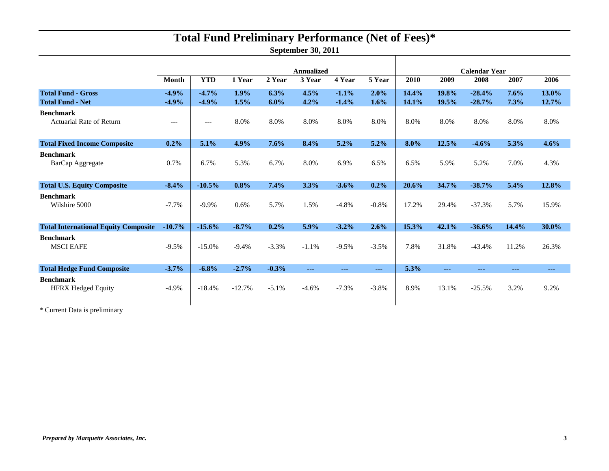# **Total Fund Preliminary Performance (Net of Fees)\***

**September 30, 2011**

Т

|                                                      |                    | <b>Annualized</b>  |              |                 |              |                    | <b>Calendar Year</b> |                |                |                      |              |                      |
|------------------------------------------------------|--------------------|--------------------|--------------|-----------------|--------------|--------------------|----------------------|----------------|----------------|----------------------|--------------|----------------------|
|                                                      | <b>Month</b>       | <b>YTD</b>         | 1 Year       | 2 Year          | 3 Year       | 4 Year             | 5 Year               | 2010           | 2009           | 2008                 | 2007         | 2006                 |
| <b>Total Fund - Gross</b><br><b>Total Fund - Net</b> | $-4.9%$<br>$-4.9%$ | $-4.7%$<br>$-4.9%$ | 1.9%<br>1.5% | 6.3%<br>$6.0\%$ | 4.5%<br>4.2% | $-1.1%$<br>$-1.4%$ | 2.0%<br>1.6%         | 14.4%<br>14.1% | 19.8%<br>19.5% | $-28.4%$<br>$-28.7%$ | 7.6%<br>7.3% | 13.0%<br>12.7%       |
| <b>Benchmark</b><br><b>Actuarial Rate of Return</b>  | $---$              | $---$              | 8.0%         | 8.0%            | 8.0%         | 8.0%               | 8.0%                 | 8.0%           | 8.0%           | 8.0%                 | 8.0%         | 8.0%                 |
| <b>Total Fixed Income Composite</b>                  | 0.2%               | 5.1%               | 4.9%         | 7.6%            | 8.4%         | 5.2%               | 5.2%                 | 8.0%           | 12.5%          | $-4.6%$              | 5.3%         | 4.6%                 |
| <b>Benchmark</b><br>BarCap Aggregate                 | 0.7%               | 6.7%               | 5.3%         | 6.7%            | 8.0%         | 6.9%               | 6.5%                 | 6.5%           | 5.9%           | 5.2%                 | 7.0%         | 4.3%                 |
| <b>Total U.S. Equity Composite</b>                   | $-8.4%$            | $-10.5%$           | 0.8%         | 7.4%            | 3.3%         | $-3.6%$            | 0.2%                 | 20.6%          | 34.7%          | $-38.7%$             | 5.4%         | 12.8%                |
| <b>Benchmark</b><br>Wilshire 5000                    | $-7.7%$            | $-9.9\%$           | 0.6%         | 5.7%            | 1.5%         | $-4.8%$            | $-0.8%$              | 17.2%          | 29.4%          | $-37.3%$             | 5.7%         | 15.9%                |
| <b>Total International Equity Composite</b>          | $-10.7%$           | $-15.6%$           | $-8.7%$      | 0.2%            | 5.9%         | $-3.2%$            | 2.6%                 | 15.3%          | 42.1%          | $-36.6%$             | 14.4%        | 30.0%                |
| <b>Benchmark</b><br><b>MSCI EAFE</b>                 | $-9.5%$            | $-15.0%$           | $-9.4%$      | $-3.3%$         | $-1.1%$      | $-9.5%$            | $-3.5%$              | 7.8%           | 31.8%          | $-43.4%$             | 11.2%        | 26.3%                |
| <b>Total Hedge Fund Composite</b>                    | $-3.7%$            | $-6.8%$            | $-2.7%$      | $-0.3%$         | $- - -$      | $- - -$            | $\sim$ $\sim$ $\sim$ | 5.3%           | $- - -$        | $- - -$              | $- - -$      | $\sim$ $\sim$ $\sim$ |
| <b>Benchmark</b><br><b>HFRX Hedged Equity</b>        | $-4.9\%$           | $-18.4%$           | $-12.7%$     | $-5.1\%$        | $-4.6%$      | $-7.3%$            | $-3.8%$              | 8.9%           | 13.1%          | $-25.5%$             | 3.2%         | 9.2%                 |

\* Current Data is preliminary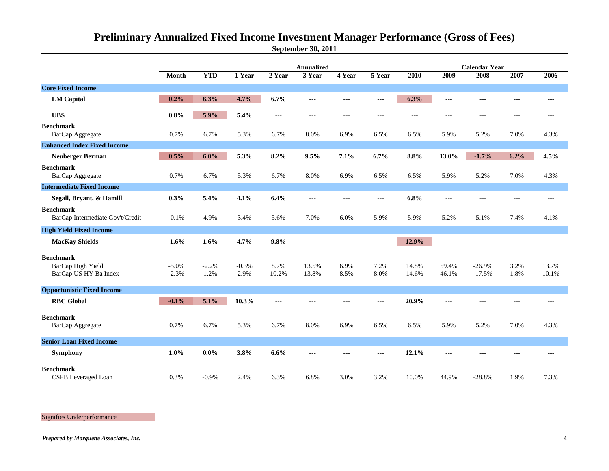### **September 30, 2011 Preliminary Annualized Fixed Income Investment Manager Performance (Gross of Fees)**

|                                                                |                    |                 |                 |                |                             |              |              | <b>Calendar Year</b> |                |                      |              |                |  |
|----------------------------------------------------------------|--------------------|-----------------|-----------------|----------------|-----------------------------|--------------|--------------|----------------------|----------------|----------------------|--------------|----------------|--|
|                                                                | Month              | <b>YTD</b>      | 1 Year          | 2 Year         | <b>Annualized</b><br>3 Year | 4 Year       | 5 Year       | 2010                 | 2009           | 2008                 | 2007         | 2006           |  |
| <b>Core Fixed Income</b>                                       |                    |                 |                 |                |                             |              |              |                      |                |                      |              |                |  |
| <b>LM</b> Capital                                              | 0.2%               | 6.3%            | 4.7%            | 6.7%           | ---                         | ---          | ---          | 6.3%                 | $---$          | ---                  | ---          | $---$          |  |
| <b>UBS</b>                                                     | 0.8%               | 5.9%            | 5.4%            | $---$          | $--$                        | $-$          | $---$        | ---                  | $--$           | ---                  | ---          | $---$          |  |
| <b>Benchmark</b><br>BarCap Aggregate                           | 0.7%               | 6.7%            | 5.3%            | 6.7%           | 8.0%                        | 6.9%         | 6.5%         | 6.5%                 | 5.9%           | 5.2%                 | 7.0%         | 4.3%           |  |
| <b>Enhanced Index Fixed Income</b>                             |                    |                 |                 |                |                             |              |              |                      |                |                      |              |                |  |
| <b>Neuberger Berman</b>                                        | 0.5%               | 6.0%            | 5.3%            | 8.2%           | 9.5%                        | 7.1%         | 6.7%         | 8.8%                 | 13.0%          | $-1.7%$              | 6.2%         | 4.5%           |  |
| <b>Benchmark</b><br>BarCap Aggregate                           | 0.7%               | 6.7%            | 5.3%            | 6.7%           | 8.0%                        | 6.9%         | 6.5%         | 6.5%                 | 5.9%           | 5.2%                 | 7.0%         | 4.3%           |  |
| <b>Intermediate Fixed Income</b>                               |                    |                 |                 |                |                             |              |              |                      |                |                      |              |                |  |
| Segall, Bryant, & Hamill                                       | 0.3%               | 5.4%            | 4.1%            | 6.4%           | ---                         | $\sim$       | ---          | 6.8%                 | $- - -$        | ---                  | ---          | ---            |  |
| <b>Benchmark</b><br>BarCap Intermediate Gov't/Credit           | $-0.1%$            | 4.9%            | 3.4%            | 5.6%           | 7.0%                        | 6.0%         | 5.9%         | 5.9%                 | 5.2%           | 5.1%                 | 7.4%         | 4.1%           |  |
| <b>High Yield Fixed Income</b>                                 |                    |                 |                 |                |                             |              |              |                      |                |                      |              |                |  |
| <b>MacKay Shields</b>                                          | $-1.6%$            | 1.6%            | 4.7%            | 9.8%           | ---                         | ---          | ---          | 12.9%                | $\cdots$       |                      |              | ---            |  |
| <b>Benchmark</b><br>BarCap High Yield<br>BarCap US HY Ba Index | $-5.0%$<br>$-2.3%$ | $-2.2%$<br>1.2% | $-0.3%$<br>2.9% | 8.7%<br>10.2%  | 13.5%<br>13.8%              | 6.9%<br>8.5% | 7.2%<br>8.0% | 14.8%<br>14.6%       | 59.4%<br>46.1% | $-26.9%$<br>$-17.5%$ | 3.2%<br>1.8% | 13.7%<br>10.1% |  |
| <b>Opportunistic Fixed Income</b>                              |                    |                 |                 |                |                             |              |              |                      |                |                      |              |                |  |
| <b>RBC</b> Global                                              | $-0.1%$            | 5.1%            | 10.3%           | $\overline{a}$ | ---                         | $\sim$       | $\cdots$     | 20.9%                | $- - -$        | ---                  | ---          | ---            |  |
| <b>Benchmark</b><br>BarCap Aggregate                           | 0.7%               | 6.7%            | 5.3%            | 6.7%           | 8.0%                        | 6.9%         | 6.5%         | 6.5%                 | 5.9%           | 5.2%                 | 7.0%         | 4.3%           |  |
| <b>Senior Loan Fixed Income</b>                                |                    |                 |                 |                |                             |              |              |                      |                |                      |              |                |  |
| <b>Symphony</b>                                                | $1.0\%$            | $0.0\%$         | 3.8%            | 6.6%           | ---                         | ---          | $---$        | 12.1%                | $\cdots$       |                      | ---          | $--$           |  |
| <b>Benchmark</b><br><b>CSFB</b> Leveraged Loan                 | 0.3%               | $-0.9%$         | 2.4%            | 6.3%           | 6.8%                        | 3.0%         | 3.2%         | 10.0%                | 44.9%          | $-28.8%$             | 1.9%         | 7.3%           |  |

Signifies Underperformance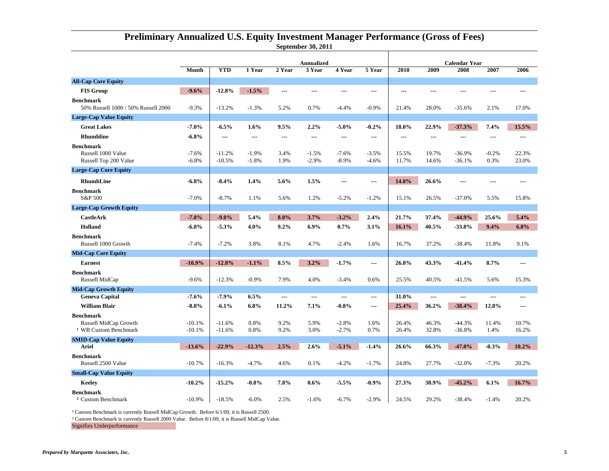|                                                                               |                      | <b>Annualized</b>    |                    |              |                    |                    | <b>Calendar Year</b> |                |                |                      |                 |                |
|-------------------------------------------------------------------------------|----------------------|----------------------|--------------------|--------------|--------------------|--------------------|----------------------|----------------|----------------|----------------------|-----------------|----------------|
|                                                                               | Month                | <b>YTD</b>           | 1 Year             | 2 Year       | 3 Year             | 4 Year             | 5 Year               | 2010           | 2009           | 2008                 | 2007            | 2006           |
| <b>All-Cap Core Equity</b>                                                    |                      |                      |                    |              |                    |                    |                      |                |                |                      |                 |                |
| <b>FIS Group</b>                                                              | $-9.6%$              | $-12.8%$             | $-1.5%$            |              | ---                | ---                | ---                  | $\overline{a}$ | ---            |                      | ---             |                |
| <b>Benchmark</b><br>50% Russell 1000 / 50% Russell 2000                       | $-9.3%$              | $-13.2%$             | $-1.3%$            | 5.2%         | 0.7%               | $-4.4%$            | $-0.9%$              | 21.4%          | 28.0%          | $-35.6%$             | 2.1%            | 17.0%          |
| <b>Large-Cap Value Equity</b>                                                 |                      |                      |                    |              |                    |                    |                      |                |                |                      |                 |                |
| <b>Great Lakes</b>                                                            | $-7.0%$              | $-6.5%$              | 1.6%               | 9.5%         | 2.2%               | $-5.0\%$           | $-0.2%$              | 18.0%          | 22.9%          | $-37.3%$             | 7.4%            | 15.5%          |
| <b>Rhumbline</b>                                                              | $-6.8\%$             | ---                  | ---                | ---          | ---                | ---                | ---                  | ---            | ---            | ---                  | ---             |                |
| <b>Benchmark</b><br>Russell 1000 Value<br>Russell Top 200 Value               | $-7.6%$<br>$-6.8%$   | $-11.2%$<br>$-10.5%$ | $-1.9%$<br>$-1.8%$ | 3.4%<br>1.9% | $-1.5%$<br>$-2.9%$ | $-7.6%$<br>$-8.9%$ | $-3.5%$<br>$-4.6%$   | 15.5%<br>11.7% | 19.7%<br>14.6% | $-36.9%$<br>$-36.1%$ | $-0.2%$<br>0.3% | 22.3%<br>23.0% |
| <b>Large-Cap Core Equity</b>                                                  |                      |                      |                    |              |                    |                    |                      |                |                |                      |                 |                |
| <b>RhumbLine</b>                                                              | $-6.8\%$             | $-8.4%$              | 1.4%               | 5.6%         | 1.5%               | $\overline{a}$     | $\sim$               | 14.8%          | 26.6%          | ---                  | $-$             | ---            |
| <b>Benchmark</b><br>S&P 500                                                   | $-7.0%$              | $-8.7%$              | 1.1%               | 5.6%         | 1.2%               | $-5.2%$            | $-1.2%$              | 15.1%          | 26.5%          | $-37.0%$             | 5.5%            | 15.8%          |
| <b>Large-Cap Growth Equity</b>                                                |                      |                      |                    |              |                    |                    |                      |                |                |                      |                 |                |
| <b>CastleArk</b>                                                              | $-7.8%$              | $-9.0\%$             | 5.4%               | $8.0\%$      | 3.7%               | $-3.2%$            | 2.4%                 | 21.7%          | 37.4%          | $-44.9%$             | 25.6%           | 5.4%           |
| <b>Holland</b>                                                                | $-6.8%$              | $-5.3%$              | 4.0%               | 9.2%         | 6.9%               | 0.7%               | 3.1%                 | 16.1%          | 40.5%          | $-33.8%$             | 9.4%            | 6.8%           |
| <b>Benchmark</b><br>Russell 1000 Growth                                       | $-7.4%$              | $-7.2%$              | 3.8%               | 8.1%         | 4.7%               | $-2.4%$            | 1.6%                 | 16.7%          | 37.2%          | $-38.4%$             | 11.8%           | 9.1%           |
| <b>Mid-Cap Core Equity</b>                                                    |                      |                      |                    |              |                    |                    |                      |                |                |                      |                 |                |
| <b>Earnest</b>                                                                | $-10.9%$             | $-12.8%$             | $-1.1%$            | 8.5%         | 3.2%               | $-1.7%$            | $\sim$               | 26.8%          | 43.3%          | $-41.4%$             | 8.7%            | ---            |
| <b>Benchmark</b><br>Russell MidCap                                            | $-9.6%$              | $-12.3%$             | $-0.9%$            | 7.9%         | 4.0%               | $-3.4%$            | 0.6%                 | 25.5%          | 40.5%          | $-41.5%$             | 5.6%            | 15.3%          |
| <b>Mid-Cap Growth Equity</b>                                                  |                      |                      |                    |              |                    |                    |                      |                |                |                      |                 |                |
| <b>Geneva Capital</b>                                                         | $-7.6%$              | $-7.9%$              | 6.5%               | ---          | ---                | $\overline{a}$     | $\sim$               | 31.0%          | $\overline{a}$ | ---                  | ---             | ---            |
| <b>William Blair</b>                                                          | $-8.8%$              | $-6.1%$              | 6.8%               | 11.2%        | 7.1%               | $-0.8\%$           | ---                  | 25.4%          | 36.2%          | $-38.4%$             | 12.8%           |                |
| <b>Benchmark</b><br>Russell MidCap Growth<br><sup>1</sup> WB Custom Benchmark | $-10.1%$<br>$-10.1%$ | $-11.6%$<br>$-11.6%$ | 0.8%<br>0.8%       | 9.2%<br>9.2% | 5.9%<br>3.0%       | $-2.8%$<br>$-2.7%$ | 1.6%<br>0.7%         | 26.4%<br>26.4% | 46.3%<br>32.8% | $-44.3%$<br>$-36.8%$ | 11.4%<br>1.4%   | 10.7%<br>16.2% |
| <b>SMID-Cap Value Equity</b>                                                  |                      |                      |                    |              |                    |                    |                      |                |                |                      |                 |                |
| Ariel                                                                         | $-13.6%$             | $-22.9%$             | $-12.3%$           | 2.5%         | 2.6%               | $-5.1%$            | $-1.4%$              | 26.6%          | 66.3%          | $-47.0%$             | $-0.3%$         | 10.2%          |
| <b>Benchmark</b><br>Russell 2500 Value                                        | $-10.7%$             | $-16.3%$             | $-4.7%$            | 4.6%         | 0.1%               | $-4.2%$            | $-1.7%$              | 24.8%          | 27.7%          | $-32.0%$             | $-7.3%$         | 20.2%          |
| <b>Small-Cap Value Equity</b>                                                 |                      |                      |                    |              |                    |                    |                      |                |                |                      |                 |                |
| Keeley                                                                        | $-10.2%$             | $-15.2%$             | $-0.8\%$           | 7.8%         | 0.6%               | $-5.5%$            | $-0.9%$              | 27.3%          | 38.9%          | $-45.2%$             | 6.1%            | 16.7%          |
| <b>Benchmark</b><br><sup>2</sup> Custom Benchmark                             | $-10.9%$             | $-18.5%$             | $-6.0%$            | 2.5%         | $-1.6%$            | $-6.7%$            | $-2.9%$              | 24.5%          | 29.2%          | $-38.4%$             | $-1.4%$         | 20.2%          |

#### **September 30, 2011 Preliminary Annualized U.S. Equity Investment Manager Performance (Gross of Fees)**

<sup>1</sup> Custom Benchmark is currently Russell MidCap Growth. Before 6/1/09, it is Russell 2500.

² Custom Benchmark is currently Russell 2000 Value. Before 8/1/09, it is Russell MidCap Value.

Signifies Underperformance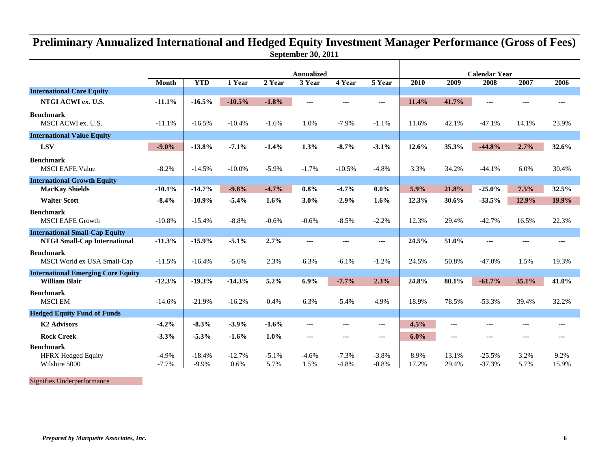## **September 30, 2011 Preliminary Annualized International and Hedged Equity Investment Manager Performance (Gross of Fees)**

|                                                 | Month              | <b>YTD</b>          | 1 Year           | 2 Year          | <b>Annualized</b><br>3 Year | 4 Year             | 5 Year             | 2010          | 2009           | <b>Calendar Year</b><br>2008 | 2007         | 2006          |
|-------------------------------------------------|--------------------|---------------------|------------------|-----------------|-----------------------------|--------------------|--------------------|---------------|----------------|------------------------------|--------------|---------------|
| <b>International Core Equity</b>                |                    |                     |                  |                 |                             |                    |                    |               |                |                              |              |               |
| NTGI ACWI ex. U.S.                              | $-11.1%$           | $-16.5%$            | $-10.5%$         | $-1.8%$         | ---                         | $--$               | ---                | 11.4%         | 41.7%          | $\sim$                       | ---          | $\cdots$      |
| <b>Benchmark</b><br>MSCI ACWI ex. U.S.          | $-11.1%$           | $-16.5%$            | $-10.4%$         | $-1.6%$         | 1.0%                        | $-7.9%$            | $-1.1%$            | 11.6%         | 42.1%          | $-47.1%$                     | 14.1%        | 23.9%         |
| <b>International Value Equity</b>               |                    |                     |                  |                 |                             |                    |                    |               |                |                              |              |               |
| <b>LSV</b>                                      | $-9.0\%$           | $-13.8%$            | $-7.1%$          | $-1.4%$         | 1.3%                        | $-8.7%$            | $-3.1%$            | 12.6%         | 35.3%          | $-44.8%$                     | 2.7%         | 32.6%         |
| <b>Benchmark</b><br><b>MSCI EAFE Value</b>      | $-8.2%$            | $-14.5%$            | $-10.0\%$        | $-5.9%$         | $-1.7%$                     | $-10.5%$           | $-4.8%$            | 3.3%          | 34.2%          | $-44.1%$                     | 6.0%         | 30.4%         |
| <b>International Growth Equity</b>              |                    |                     |                  |                 |                             |                    |                    |               |                |                              |              |               |
| <b>MacKay Shields</b>                           | $-10.1%$           | $-14.7%$            | $-9.8%$          | $-4.7%$         | 0.8%                        | $-4.7%$            | $0.0\%$            | 5.9%          | 21.8%          | $-25.0%$                     | 7.5%         | 32.5%         |
| <b>Walter Scott</b>                             | $-8.4%$            | $-10.9%$            | $-5.4%$          | 1.6%            | 3.0%                        | $-2.9%$            | 1.6%               | 12.3%         | 30.6%          | $-33.5%$                     | 12.9%        | 19.9%         |
| <b>Benchmark</b><br><b>MSCI EAFE Growth</b>     | $-10.8%$           | $-15.4%$            | $-8.8%$          | $-0.6%$         | $-0.6%$                     | $-8.5%$            | $-2.2%$            | 12.3%         | 29.4%          | $-42.7%$                     | 16.5%        | 22.3%         |
| <b>International Small-Cap Equity</b>           |                    |                     |                  |                 |                             |                    |                    |               |                |                              |              |               |
| <b>NTGI Small-Cap International</b>             | $-11.3%$           | $-15.9%$            | $-5.1%$          | 2.7%            | ---                         | $- - -$            | ---                | 24.5%         | 51.0%          | $\sim$ $\sim$ $\sim$         | ---          | $- - -$       |
| <b>Benchmark</b><br>MSCI World ex USA Small-Cap | $-11.5%$           | $-16.4%$            | $-5.6%$          | 2.3%            | 6.3%                        | $-6.1%$            | $-1.2%$            | 24.5%         | 50.8%          | $-47.0%$                     | 1.5%         | 19.3%         |
| <b>International Emerging Core Equity</b>       |                    |                     |                  |                 |                             |                    |                    |               |                |                              |              |               |
| <b>William Blair</b>                            | $-12.3%$           | $-19.3%$            | $-14.3%$         | 5.2%            | 6.9%                        | $-7.7%$            | 2.3%               | 24.8%         | 80.1%          | $-61.7%$                     | 35.1%        | 41.0%         |
| <b>Benchmark</b><br><b>MSCI EM</b>              | $-14.6%$           | $-21.9%$            | $-16.2%$         | 0.4%            | 6.3%                        | $-5.4%$            | 4.9%               | 18.9%         | 78.5%          | $-53.3%$                     | 39.4%        | 32.2%         |
| <b>Hedged Equity Fund of Funds</b>              |                    |                     |                  |                 |                             |                    |                    |               |                |                              |              |               |
| <b>K2 Advisors</b>                              | $-4.2%$            | $-8.3%$             | $-3.9%$          | $-1.6%$         | ---                         | ---                | ---                | 4.5%          | ---            | $- -$                        | ---          | ---           |
| <b>Rock Creek</b>                               | $-3.3%$            | $-5.3%$             | $-1.6%$          | 1.0%            | ---                         | ---                | ---                | 6.0%          | ---            | $\sim$                       | ---          | $- - -$       |
| <b>Benchmark</b>                                |                    |                     |                  |                 |                             |                    |                    |               |                |                              |              |               |
| <b>HFRX Hedged Equity</b><br>Wilshire 5000      | $-4.9%$<br>$-7.7%$ | $-18.4%$<br>$-9.9%$ | $-12.7%$<br>0.6% | $-5.1%$<br>5.7% | $-4.6%$<br>1.5%             | $-7.3%$<br>$-4.8%$ | $-3.8%$<br>$-0.8%$ | 8.9%<br>17.2% | 13.1%<br>29.4% | $-25.5%$<br>$-37.3%$         | 3.2%<br>5.7% | 9.2%<br>15.9% |

Signifies Underperformance